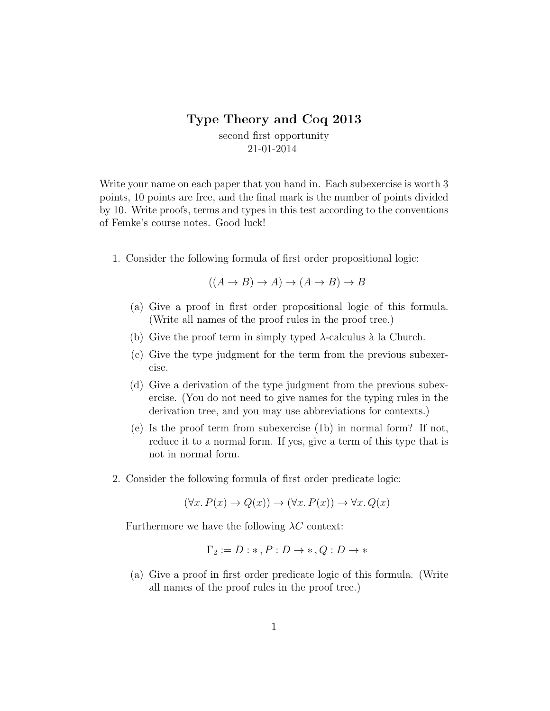## Type Theory and Coq 2013

second first opportunity 21-01-2014

Write your name on each paper that you hand in. Each subexercise is worth 3 points, 10 points are free, and the final mark is the number of points divided by 10. Write proofs, terms and types in this test according to the conventions of Femke's course notes. Good luck!

1. Consider the following formula of first order propositional logic:

$$
((A \to B) \to A) \to (A \to B) \to B
$$

- (a) Give a proof in first order propositional logic of this formula. (Write all names of the proof rules in the proof tree.)
- (b) Give the proof term in simply typed  $\lambda$ -calculus à la Church.
- (c) Give the type judgment for the term from the previous subexercise.
- (d) Give a derivation of the type judgment from the previous subexercise. (You do not need to give names for the typing rules in the derivation tree, and you may use abbreviations for contexts.)
- (e) Is the proof term from subexercise (1b) in normal form? If not, reduce it to a normal form. If yes, give a term of this type that is not in normal form.
- 2. Consider the following formula of first order predicate logic:

 $(\forall x. P(x) \rightarrow Q(x)) \rightarrow (\forall x. P(x)) \rightarrow \forall x. Q(x)$ 

Furthermore we have the following  $\lambda C$  context:

$$
\Gamma_2 := D : *, P : D \to *, Q : D \to *
$$

(a) Give a proof in first order predicate logic of this formula. (Write all names of the proof rules in the proof tree.)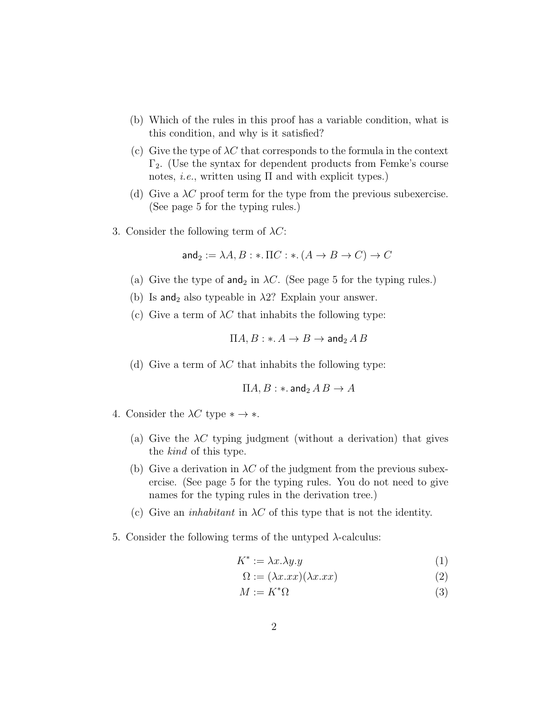- (b) Which of the rules in this proof has a variable condition, what is this condition, and why is it satisfied?
- (c) Give the type of  $\lambda C$  that corresponds to the formula in the context  $\Gamma_2$ . (Use the syntax for dependent products from Femke's course notes, *i.e.*, written using  $\Pi$  and with explicit types.)
- (d) Give a  $\lambda C$  proof term for the type from the previous subexercise. (See page 5 for the typing rules.)
- 3. Consider the following term of  $\lambda C$ :

and<sub>2</sub> := 
$$
\lambda A, B : *
$$
.  $\Pi C : *$ .  $(A \rightarrow B \rightarrow C) \rightarrow C$ 

- (a) Give the type of and<sub>2</sub> in  $\lambda C$ . (See page 5 for the typing rules.)
- (b) Is and<sub>2</sub> also typeable in  $\lambda$ 2? Explain your answer.
- (c) Give a term of  $\lambda C$  that inhabits the following type:

$$
\Pi A, B: \ast \colon A \to B \to \mathsf{and}_2\, A\, B
$$

(d) Give a term of  $\lambda C$  that inhabits the following type:

$$
\Pi A,B: \ast.\operatorname{\mathsf{and}}_2 A\,B \to A
$$

- 4. Consider the  $\lambda C$  type  $* \rightarrow *$ .
	- (a) Give the  $\lambda C$  typing judgment (without a derivation) that gives the kind of this type.
	- (b) Give a derivation in  $\lambda C$  of the judgment from the previous subexercise. (See page 5 for the typing rules. You do not need to give names for the typing rules in the derivation tree.)
	- (c) Give an *inhabitant* in  $\lambda C$  of this type that is not the identity.
- 5. Consider the following terms of the untyped λ-calculus:

$$
K^* := \lambda x. \lambda y. y \tag{1}
$$

$$
\Omega := (\lambda x. xx)(\lambda x. xx) \tag{2}
$$

$$
M := K^* \Omega \tag{3}
$$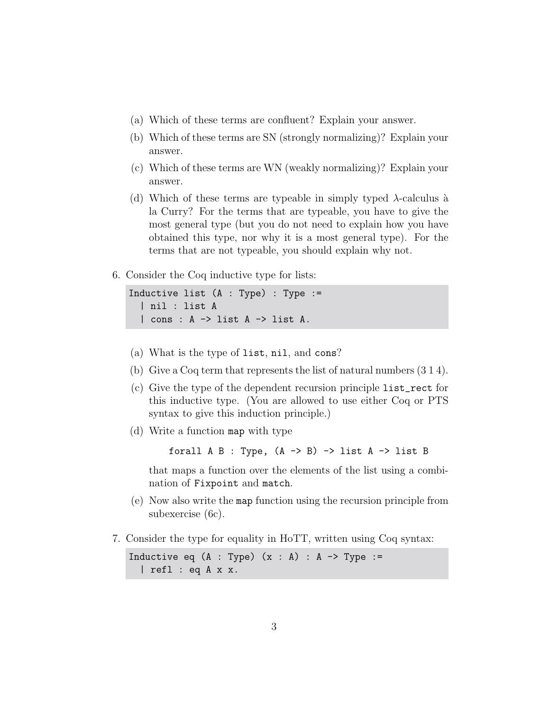- (a) Which of these terms are confluent? Explain your answer.
- (b) Which of these terms are SN (strongly normalizing)? Explain your answer.
- (c) Which of these terms are WN (weakly normalizing)? Explain your answer.
- (d) Which of these terms are typeable in simply typed  $\lambda$ -calculus à la Curry? For the terms that are typeable, you have to give the most general type (but you do not need to explain how you have obtained this type, nor why it is a most general type). For the terms that are not typeable, you should explain why not.
- 6. Consider the Coq inductive type for lists:

```
Inductive list (A : Type) : Type :=
| nil : list A
| cons : A \rightarrow list A \rightarrow list A.
```
- (a) What is the type of list, nil, and cons?
- (b) Give a Coq term that represents the list of natural numbers (3 1 4).
- (c) Give the type of the dependent recursion principle list\_rect for this inductive type. (You are allowed to use either Coq or PTS syntax to give this induction principle.)
- (d) Write a function map with type

forall  $A$  B : Type,  $(A \rightarrow B) \rightarrow$  list  $A \rightarrow$  list B

that maps a function over the elements of the list using a combination of Fixpoint and match.

- (e) Now also write the map function using the recursion principle from subexercise (6c).
- 7. Consider the type for equality in HoTT, written using Coq syntax:

Inductive eq  $(A : Type)$   $(x : A) : A \rightarrow Type :=$ | refl : eq A x x.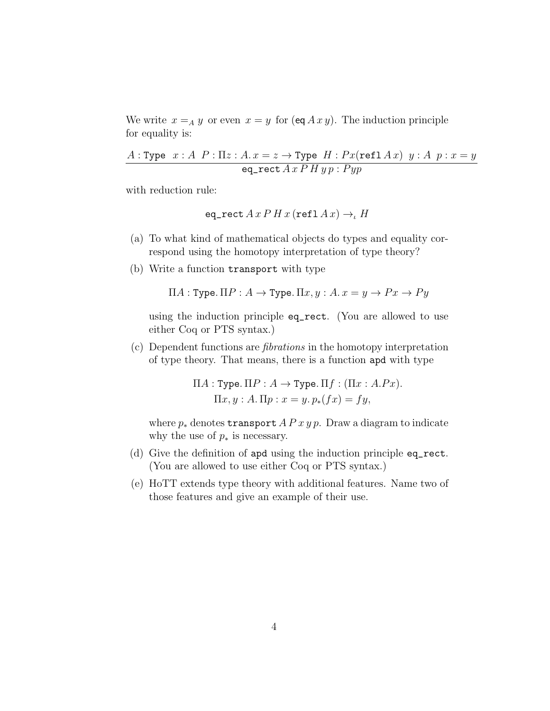We write  $x =_A y$  or even  $x = y$  for  $(\text{eq } A x y)$ . The induction principle for equality is:

$$
\cfrac{A:\texttt{Type } x:A \ P:\Pi z:A. x=z\rightarrow \texttt{Type } H: Px(\texttt{refl} \ A \ x) \ y:A \ p:x=y}{\texttt{eq\_rect} \ A \ x \ P \ H \ y \ p:Pyp}
$$

with reduction rule:

$$
\mathtt{eq\_rect}\,A\,x\,P\,H\,x\,(\mathtt{refl}\,A\,x)\to_{\iota}H
$$

- (a) To what kind of mathematical objects do types and equality correspond using the homotopy interpretation of type theory?
- (b) Write a function transport with type

$$
\Pi A: \text{Type.}\ \Pi P: A \to \text{Type.}\ \Pi x, y: A. \ x = y \to Px \to Py
$$

using the induction principle eq\_rect. (You are allowed to use either Coq or PTS syntax.)

(c) Dependent functions are fibrations in the homotopy interpretation of type theory. That means, there is a function apd with type

> $\Pi A : \texttt{Type.} \Pi P : A \rightarrow \texttt{Type.} \Pi f : (\Pi x : A.Px).$  $\Pi x, y : A. \Pi p : x = y. p_*(fx) = fy,$

where  $p_*$  denotes **transport**  $A P x y p$ . Draw a diagram to indicate why the use of  $p_*$  is necessary.

- (d) Give the definition of apd using the induction principle eq\_rect. (You are allowed to use either Coq or PTS syntax.)
- (e) HoTT extends type theory with additional features. Name two of those features and give an example of their use.